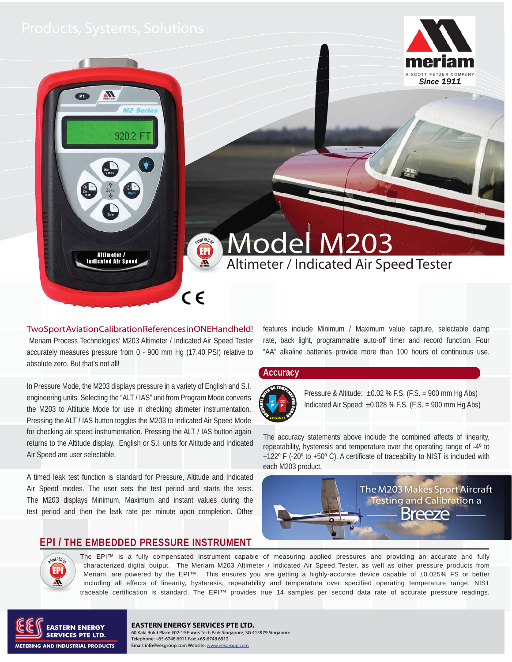920.2 FT

Altimeter /<br>Indicated Air Speed



Two Sport Aviation Calibration References in ONE Handheld! Meriam Process Technologies' M203 Altimeter / Indicated Air Speed Tester accurately measures pressure from 0 - 900 mm Hg (17.40 PSI) relative to absolute zero. But that's not all!

In Pressure Mode, the M203 displays pressure in a variety of English and S.I. engineering units. Selecting the "ALT / IAS" unit from Program Mode converts the M203 to Altitude Mode for use in checking altimeter instrumentation. Pressing the ALT / IAS button toggles the M203 to Indicated Air Speed Mode for checking air speed instrumentation. Pressing the ALT / IAS button again returns to the Altitude display. English or S.I. units for Altitude and Indicated Air Speed are user selectable.

A timed leak test function is standard for Pressure, Altitude and Indicated Air Speed modes. The user sets the test period and starts the tests. The M203 displays Minimum, Maximum and instant values during the test period and then the leak rate per minute upon completion. Other

## **EPI / THE EMBEDDED PRESSURE INSTRUMENT**

features include Minimum / Maximum value capture, selectable damp rate, back light, programmable auto-off timer and record function. Four "AA" alkaline batteries provide more than 100 hours of continuous use.

Altimeter / Indicated Air Speed Tester

### **Accuracy**

Model

**POWERED BY** EPI

 $\epsilon$ 



Pressure & Altitude:  $\pm 0.02$  % F.S. (F.S. = 900 mm Hg Abs) Indicated Air Speed:  $\pm 0.028$  % F.S. (F.S. = 900 mm Hg Abs)

The accuracy statements above include the combined affects of linearity, repeatability, hysteresis and temperature over the operating range of -4º to +122° F (-20° to +50° C). A certificate of traceability to NIST is included with each M203 product.



The EPI™ is a fully compensated instrument capable of measuring applied pressures and providing an accurate and fully characterized digital output. The Meriam M203 Altimeter / Indicated Air Speed Tester, as well as other pressure products from Meriam, are powered by the EPI™. This ensures you are getting a highly-accurate device capable of ±0.025% FS or better including all effects of linearity, hysteresis, repeatability and temperature over specified operating temperature range. NIST traceable certification is standard. The EPI™ provides true 14 samples per second data rate of accurate pressure readings.



**OWERED** EPI

### **EASTERN ENERGY SERVICES PTE LTD.** 60 Kaki Bukit Place #02-19 Eunos Tech Park Singapore, SG 415979 Singapore Telephone: +65-6748 6911 Fax: +65-6748 6912 Email: info@eesgroup.com Website: www.eesgroup.com